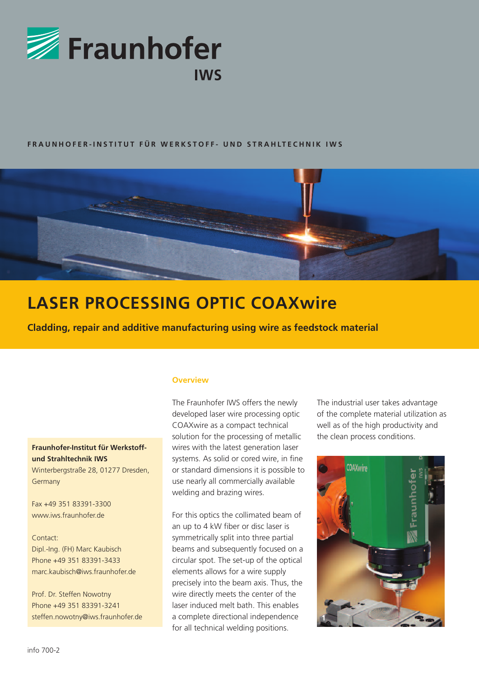

## FRAUNHOFER-INSTITUT FÜR WERKSTOFF- UND STRAHLTECHNIK IWS



# **LASER PROCESSING OPTIC COAXwire**

**Cladding, repair and additive manufacturing using wire as feedstock material**

# **Fraunhofer-Institut für Werkstoffund Strahltechnik IWS**

Winterbergstraße 28, 01277 Dresden, Germany

Fax +49 351 83391-3300 www.iws.fraunhofer.de

Contact: Dipl.-Ing. (FH) Marc Kaubisch Phone +49 351 83391-3433 marc.kaubisch@iws.fraunhofer.de

Prof. Dr. Steffen Nowotny Phone +49 351 83391-3241 steffen.nowotny@iws.fraunhofer.de

#### **Overview**

The Fraunhofer IWS offers the newly developed laser wire processing optic COAXwire as a compact technical solution for the processing of metallic wires with the latest generation laser systems. As solid or cored wire, in fine or standard dimensions it is possible to use nearly all commercially available welding and brazing wires.

For this optics the collimated beam of an up to 4 kW fiber or disc laser is symmetrically split into three partial beams and subsequently focused on a circular spot. The set-up of the optical elements allows for a wire supply precisely into the beam axis. Thus, the wire directly meets the center of the laser induced melt bath. This enables a complete directional independence for all technical welding positions.

The industrial user takes advantage of the complete material utilization as well as of the high productivity and the clean process conditions.

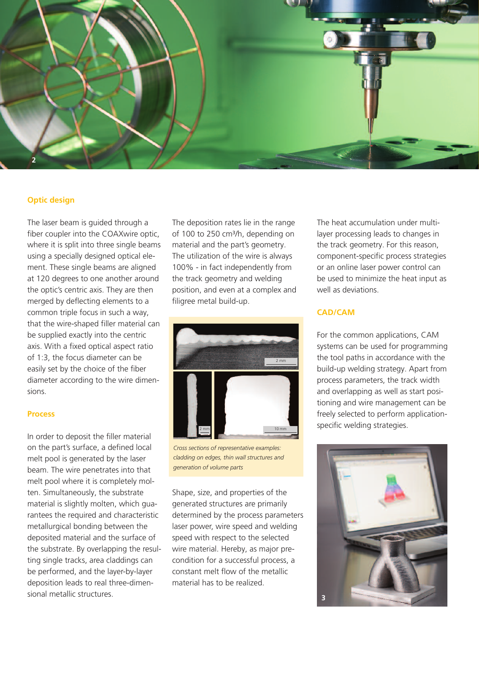

### **Optic design**

The laser beam is guided through a fiber coupler into the COAXwire optic, where it is split into three single beams using a specially designed optical element. These single beams are aligned at 120 degrees to one another around the optic's centric axis. They are then merged by deflecting elements to a common triple focus in such a way, that the wire-shaped filler material can be supplied exactly into the centric axis. With a fixed optical aspect ratio of 1:3, the focus diameter can be easily set by the choice of the fiber diameter according to the wire dimensions.

#### **Process**

In order to deposit the filler material on the part's surface, a defined local melt pool is generated by the laser beam. The wire penetrates into that melt pool where it is completely molten. Simultaneously, the substrate material is slightly molten, which guarantees the required and characteristic metallurgical bonding between the deposited material and the surface of the substrate. By overlapping the resulting single tracks, area claddings can be performed, and the layer-by-layer deposition leads to real three-dimensional metallic structures.

The deposition rates lie in the range of 100 to 250 cm<sup>3</sup>/h, depending on material and the part's geometry. The utilization of the wire is always 100% - in fact independently from the track geometry and welding position, and even at a complex and filigree metal build-up.



*Cross sections of representative examples: cladding on edges, thin wall structures and generation of volume parts*

Shape, size, and properties of the generated structures are primarily determined by the process parameters laser power, wire speed and welding speed with respect to the selected wire material. Hereby, as major precondition for a successful process, a constant melt flow of the metallic material has to be realized.

The heat accumulation under multilayer processing leads to changes in the track geometry. For this reason, component-specific process strategies or an online laser power control can be used to minimize the heat input as well as deviations.

## **CAD/CAM**

For the common applications, CAM systems can be used for programming the tool paths in accordance with the build-up welding strategy. Apart from process parameters, the track width and overlapping as well as start positioning and wire management can be freely selected to perform applicationspecific welding strategies.

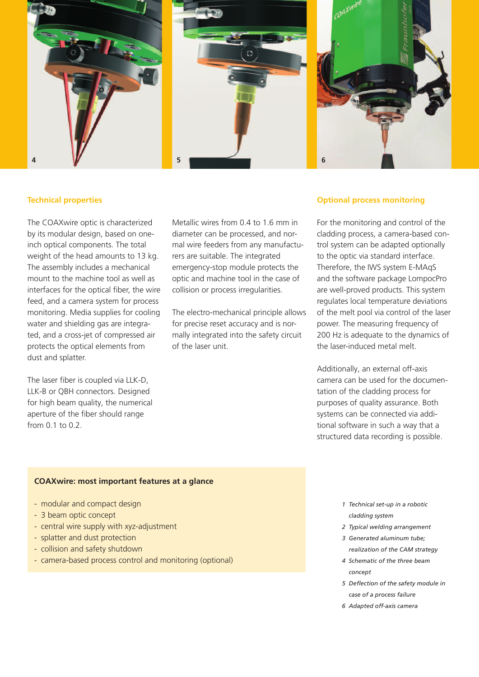

#### **Technical properties**

The COAXwire optic is characterized by its modular design, based on oneinch optical components. The total weight of the head amounts to 13 kg. The assembly includes a mechanical mount to the machine tool as well as interfaces for the optical fiber, the wire feed, and a camera system for process monitoring. Media supplies for cooling water and shielding gas are integrated, and a cross-jet of compressed air protects the optical elements from dust and splatter.

The laser fiber is coupled via LLK-D, LLK-B or QBH connectors. Designed for high beam quality, the numerical aperture of the fiber should range from 0.1 to 0.2.

Metallic wires from 0.4 to 1.6 mm in diameter can be processed, and normal wire feeders from any manufacturers are suitable. The integrated emergency-stop module protects the optic and machine tool in the case of collision or process irregularities.

The electro-mechanical principle allows for precise reset accuracy and is normally integrated into the safety circuit of the laser unit.

#### **Optional process monitoring**

For the monitoring and control of the cladding process, a camera-based control system can be adapted optionally to the optic via standard interface. Therefore, the IWS system E-MAqS and the software package LompocPro are well-proved products. This system regulates local temperature deviations of the melt pool via control of the laser power. The measuring frequency of 200 Hz is adequate to the dynamics of the laser-induced metal melt.

Additionally, an external off-axis camera can be used for the documentation of the cladding process for purposes of quality assurance. Both systems can be connected via additional software in such a way that a structured data recording is possible.

#### **COAXwire: most important features at a glance**

- modular and compact design
- 3 beam optic concept
- central wire supply with xyz-adjustment
- splatter and dust protection
- collision and safety shutdown
- camera-based process control and monitoring (optional)
- *1 Technical set-up in a robotic cladding system*
- *2 Typical welding arrangement*
- *3 Generated aluminum tube; realization of the CAM strategy*
- *4 Schematic of the three beam concept*
- *5 Deflection of the safety module in case of a process failure*
- *6 Adapted off-axis camera*